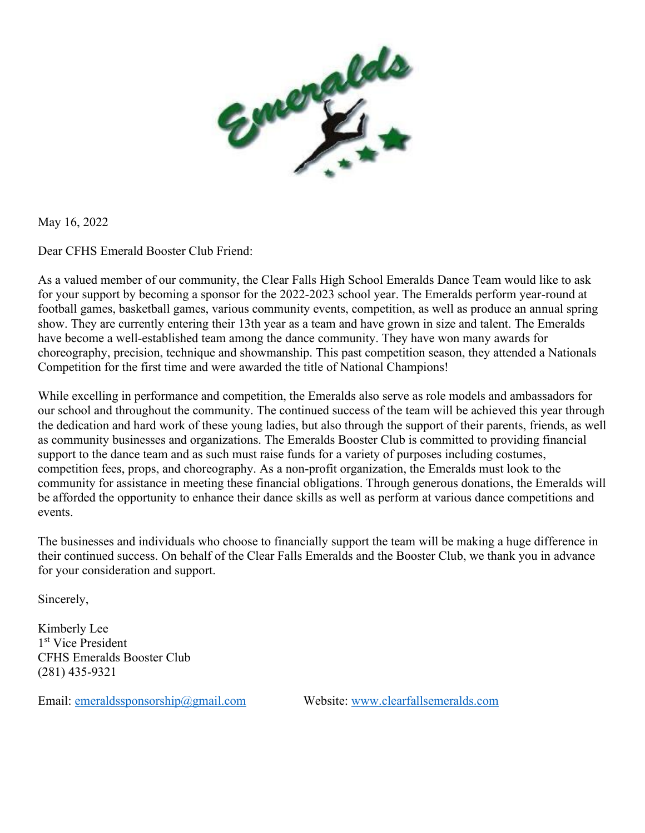

May 16, 2022

Dear CFHS Emerald Booster Club Friend:

As a valued member of our community, the Clear Falls High School Emeralds Dance Team would like to ask for your support by becoming a sponsor for the 2022-2023 school year. The Emeralds perform year-round at football games, basketball games, various community events, competition, as well as produce an annual spring show. They are currently entering their 13th year as a team and have grown in size and talent. The Emeralds have become a well-established team among the dance community. They have won many awards for choreography, precision, technique and showmanship. This past competition season, they attended a Nationals Competition for the first time and were awarded the title of National Champions!

While excelling in performance and competition, the Emeralds also serve as role models and ambassadors for our school and throughout the community. The continued success of the team will be achieved this year through the dedication and hard work of these young ladies, but also through the support of their parents, friends, as well as community businesses and organizations. The Emeralds Booster Club is committed to providing financial support to the dance team and as such must raise funds for a variety of purposes including costumes, competition fees, props, and choreography. As a non-profit organization, the Emeralds must look to the community for assistance in meeting these financial obligations. Through generous donations, the Emeralds will be afforded the opportunity to enhance their dance skills as well as perform at various dance competitions and events.

The businesses and individuals who choose to financially support the team will be making a huge difference in their continued success. On behalf of the Clear Falls Emeralds and the Booster Club, we thank you in advance for your consideration and support.

Sincerely,

Kimberly Lee 1st Vice President CFHS Emeralds Booster Club (281) 435-9321

Email: [emeraldssponsorship@gmail.com](mailto:emeraldssponsorship@gmail.com) Website: [www.clearfallsemeralds.com](http://www.clearfallsemeralds.com/)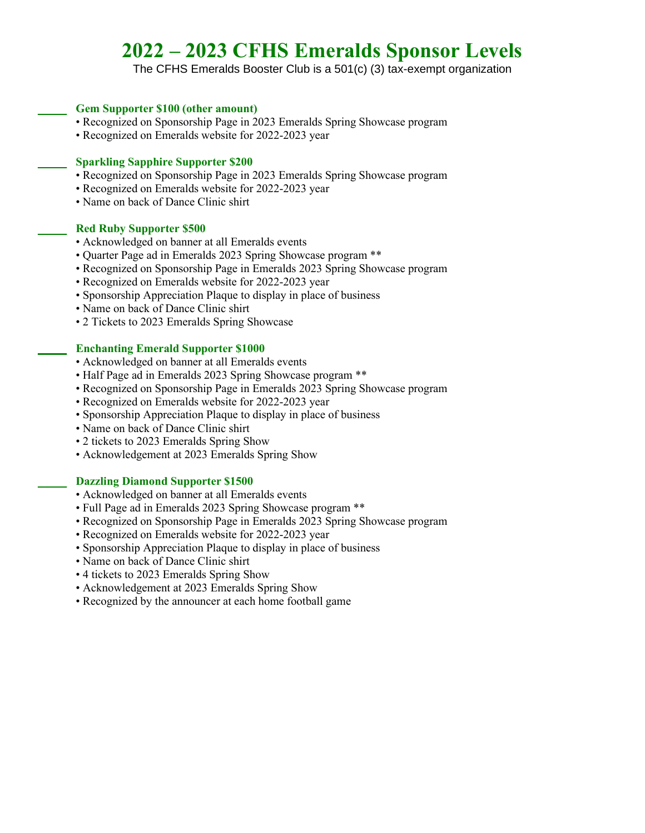# **2022 – 2023 CFHS Emeralds Sponsor Levels**

The CFHS Emeralds Booster Club is a 501(c) (3) tax-exempt organization

## **\_\_\_\_\_ Gem Supporter \$100 (other amount)**

- Recognized on Sponsorship Page in 2023 Emeralds Spring Showcase program
- Recognized on Emeralds website for 2022-2023 year

## **\_\_\_\_\_ Sparkling Sapphire Supporter \$200**

- Recognized on Sponsorship Page in 2023 Emeralds Spring Showcase program
- Recognized on Emeralds website for 2022-2023 year
- Name on back of Dance Clinic shirt

#### **\_\_\_\_\_ Red Ruby Supporter \$500**

- Acknowledged on banner at all Emeralds events
- Quarter Page ad in Emeralds 2023 Spring Showcase program \*\*
- Recognized on Sponsorship Page in Emeralds 2023 Spring Showcase program
- Recognized on Emeralds website for 2022-2023 year
- Sponsorship Appreciation Plaque to display in place of business
- Name on back of Dance Clinic shirt
- 2 Tickets to 2023 Emeralds Spring Showcase

## **\_\_\_\_\_ Enchanting Emerald Supporter \$1000**

- Acknowledged on banner at all Emeralds events
- Half Page ad in Emeralds 2023 Spring Showcase program \*\*
- Recognized on Sponsorship Page in Emeralds 2023 Spring Showcase program
- Recognized on Emeralds website for 2022-2023 year
- Sponsorship Appreciation Plaque to display in place of business
- Name on back of Dance Clinic shirt
- 2 tickets to 2023 Emeralds Spring Show
- Acknowledgement at 2023 Emeralds Spring Show

# **\_\_\_\_\_ Dazzling Diamond Supporter \$1500**

- Acknowledged on banner at all Emeralds events
- Full Page ad in Emeralds 2023 Spring Showcase program \*\*
- Recognized on Sponsorship Page in Emeralds 2023 Spring Showcase program
- Recognized on Emeralds website for 2022-2023 year
- Sponsorship Appreciation Plaque to display in place of business
- Name on back of Dance Clinic shirt
- 4 tickets to 2023 Emeralds Spring Show
- Acknowledgement at 2023 Emeralds Spring Show
- Recognized by the announcer at each home football game